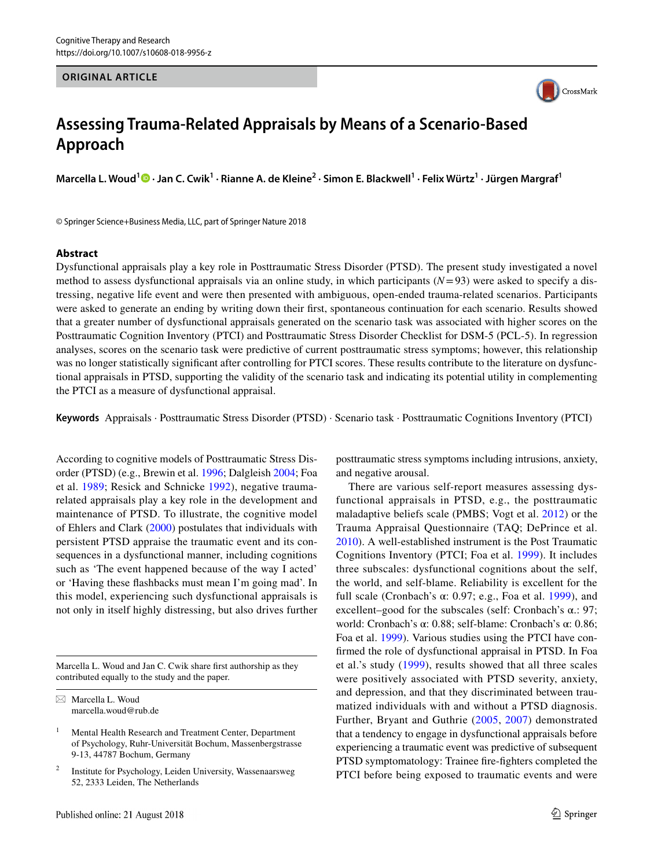#### **ORIGINAL ARTICLE**



# **Assessing Trauma-Related Appraisals by Means of a Scenario-Based Approach**

**Marcella L. Woud1  [·](http://orcid.org/0000-0002-4974-505X) Jan C. Cwik1 · Rianne A. de Kleine2 · Simon E. Blackwell1 · Felix Würtz1 · Jürgen Margraf1**

© Springer Science+Business Media, LLC, part of Springer Nature 2018

#### **Abstract**

Dysfunctional appraisals play a key role in Posttraumatic Stress Disorder (PTSD). The present study investigated a novel method to assess dysfunctional appraisals via an online study, in which participants (*N*=93) were asked to specify a distressing, negative life event and were then presented with ambiguous, open-ended trauma-related scenarios. Participants were asked to generate an ending by writing down their first, spontaneous continuation for each scenario. Results showed that a greater number of dysfunctional appraisals generated on the scenario task was associated with higher scores on the Posttraumatic Cognition Inventory (PTCI) and Posttraumatic Stress Disorder Checklist for DSM-5 (PCL-5). In regression analyses, scores on the scenario task were predictive of current posttraumatic stress symptoms; however, this relationship was no longer statistically significant after controlling for PTCI scores. These results contribute to the literature on dysfunctional appraisals in PTSD, supporting the validity of the scenario task and indicating its potential utility in complementing the PTCI as a measure of dysfunctional appraisal.

**Keywords** Appraisals · Posttraumatic Stress Disorder (PTSD) · Scenario task · Posttraumatic Cognitions Inventory (PTCI)

According to cognitive models of Posttraumatic Stress Disorder (PTSD) (e.g., Brewin et al. [1996](#page-12-0); Dalgleish [2004](#page-12-1); Foa et al. [1989](#page-12-2); Resick and Schnicke [1992](#page-12-3)), negative traumarelated appraisals play a key role in the development and maintenance of PTSD. To illustrate, the cognitive model of Ehlers and Clark [\(2000](#page-12-4)) postulates that individuals with persistent PTSD appraise the traumatic event and its consequences in a dysfunctional manner, including cognitions such as 'The event happened because of the way I acted' or 'Having these flashbacks must mean I'm going mad'. In this model, experiencing such dysfunctional appraisals is not only in itself highly distressing, but also drives further

Marcella L. Woud and Jan C. Cwik share first authorship as they contributed equally to the study and the paper.

 $\boxtimes$  Marcella L. Woud marcella.woud@rub.de

<sup>2</sup> Institute for Psychology, Leiden University, Wassenaarsweg 52, 2333 Leiden, The Netherlands

posttraumatic stress symptoms including intrusions, anxiety, and negative arousal.

There are various self-report measures assessing dysfunctional appraisals in PTSD, e.g., the posttraumatic maladaptive beliefs scale (PMBS; Vogt et al. [2012](#page-13-0)) or the Trauma Appraisal Questionnaire (TAQ; DePrince et al. [2010](#page-12-5)). A well-established instrument is the Post Traumatic Cognitions Inventory (PTCI; Foa et al. [1999](#page-12-6)). It includes three subscales: dysfunctional cognitions about the self, the world, and self-blame. Reliability is excellent for the full scale (Cronbach's  $\alpha$ : 0.97; e.g., Foa et al. [1999](#page-12-6)), and excellent–good for the subscales (self: Cronbach's α.: 97; world: Cronbach's α: 0.88; self-blame: Cronbach's α: 0.86; Foa et al. [1999\)](#page-12-6). Various studies using the PTCI have confirmed the role of dysfunctional appraisal in PTSD. In Foa et al.'s study ([1999](#page-12-6)), results showed that all three scales were positively associated with PTSD severity, anxiety, and depression, and that they discriminated between traumatized individuals with and without a PTSD diagnosis. Further, Bryant and Guthrie ([2005](#page-12-7), [2007](#page-12-8)) demonstrated that a tendency to engage in dysfunctional appraisals before experiencing a traumatic event was predictive of subsequent PTSD symptomatology: Trainee fire-fighters completed the PTCI before being exposed to traumatic events and were

<sup>&</sup>lt;sup>1</sup> Mental Health Research and Treatment Center, Department of Psychology, Ruhr-Universität Bochum, Massenbergstrasse 9-13, 44787 Bochum, Germany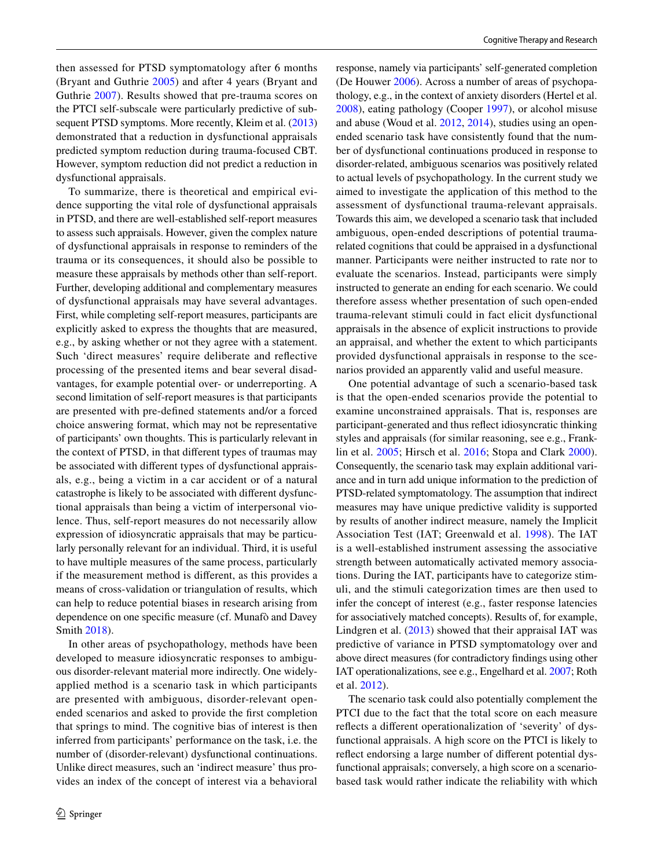then assessed for PTSD symptomatology after 6 months (Bryant and Guthrie [2005\)](#page-12-7) and after 4 years (Bryant and Guthrie [2007](#page-12-8)). Results showed that pre-trauma scores on the PTCI self-subscale were particularly predictive of subsequent PTSD symptoms. More recently, Kleim et al.  $(2013)$ demonstrated that a reduction in dysfunctional appraisals predicted symptom reduction during trauma-focused CBT. However, symptom reduction did not predict a reduction in dysfunctional appraisals.

To summarize, there is theoretical and empirical evidence supporting the vital role of dysfunctional appraisals in PTSD, and there are well-established self-report measures to assess such appraisals. However, given the complex nature of dysfunctional appraisals in response to reminders of the trauma or its consequences, it should also be possible to measure these appraisals by methods other than self-report. Further, developing additional and complementary measures of dysfunctional appraisals may have several advantages. First, while completing self-report measures, participants are explicitly asked to express the thoughts that are measured, e.g., by asking whether or not they agree with a statement. Such 'direct measures' require deliberate and reflective processing of the presented items and bear several disadvantages, for example potential over- or underreporting. A second limitation of self-report measures is that participants are presented with pre-defined statements and/or a forced choice answering format, which may not be representative of participants' own thoughts. This is particularly relevant in the context of PTSD, in that different types of traumas may be associated with different types of dysfunctional appraisals, e.g., being a victim in a car accident or of a natural catastrophe is likely to be associated with different dysfunctional appraisals than being a victim of interpersonal violence. Thus, self-report measures do not necessarily allow expression of idiosyncratic appraisals that may be particularly personally relevant for an individual. Third, it is useful to have multiple measures of the same process, particularly if the measurement method is different, as this provides a means of cross-validation or triangulation of results, which can help to reduce potential biases in research arising from dependence on one specific measure (cf. Munafò and Davey Smith [2018\)](#page-12-10).

In other areas of psychopathology, methods have been developed to measure idiosyncratic responses to ambiguous disorder-relevant material more indirectly. One widelyapplied method is a scenario task in which participants are presented with ambiguous, disorder-relevant openended scenarios and asked to provide the first completion that springs to mind. The cognitive bias of interest is then inferred from participants' performance on the task, i.e. the number of (disorder-relevant) dysfunctional continuations. Unlike direct measures, such an 'indirect measure' thus provides an index of the concept of interest via a behavioral response, namely via participants' self-generated completion (De Houwer [2006\)](#page-12-11). Across a number of areas of psychopathology, e.g., in the context of anxiety disorders (Hertel et al. [2008](#page-12-12)), eating pathology (Cooper [1997](#page-12-13)), or alcohol misuse and abuse (Woud et al. [2012,](#page-13-1) [2014\)](#page-13-2), studies using an openended scenario task have consistently found that the number of dysfunctional continuations produced in response to disorder-related, ambiguous scenarios was positively related to actual levels of psychopathology. In the current study we aimed to investigate the application of this method to the assessment of dysfunctional trauma-relevant appraisals. Towards this aim, we developed a scenario task that included ambiguous, open-ended descriptions of potential traumarelated cognitions that could be appraised in a dysfunctional manner. Participants were neither instructed to rate nor to evaluate the scenarios. Instead, participants were simply instructed to generate an ending for each scenario. We could therefore assess whether presentation of such open-ended trauma-relevant stimuli could in fact elicit dysfunctional appraisals in the absence of explicit instructions to provide an appraisal, and whether the extent to which participants provided dysfunctional appraisals in response to the scenarios provided an apparently valid and useful measure.

One potential advantage of such a scenario-based task is that the open-ended scenarios provide the potential to examine unconstrained appraisals. That is, responses are participant-generated and thus reflect idiosyncratic thinking styles and appraisals (for similar reasoning, see e.g., Franklin et al. [2005](#page-12-14); Hirsch et al. [2016;](#page-12-15) Stopa and Clark [2000](#page-13-3)). Consequently, the scenario task may explain additional variance and in turn add unique information to the prediction of PTSD-related symptomatology. The assumption that indirect measures may have unique predictive validity is supported by results of another indirect measure, namely the Implicit Association Test (IAT; Greenwald et al. [1998\)](#page-12-16). The IAT is a well-established instrument assessing the associative strength between automatically activated memory associations. During the IAT, participants have to categorize stimuli, and the stimuli categorization times are then used to infer the concept of interest (e.g., faster response latencies for associatively matched concepts). Results of, for example, Lindgren et al. ([2013](#page-12-17)) showed that their appraisal IAT was predictive of variance in PTSD symptomatology over and above direct measures (for contradictory findings using other IAT operationalizations, see e.g., Engelhard et al. [2007](#page-12-18); Roth et al. [2012](#page-12-19)).

The scenario task could also potentially complement the PTCI due to the fact that the total score on each measure reflects a different operationalization of 'severity' of dysfunctional appraisals. A high score on the PTCI is likely to reflect endorsing a large number of different potential dysfunctional appraisals; conversely, a high score on a scenariobased task would rather indicate the reliability with which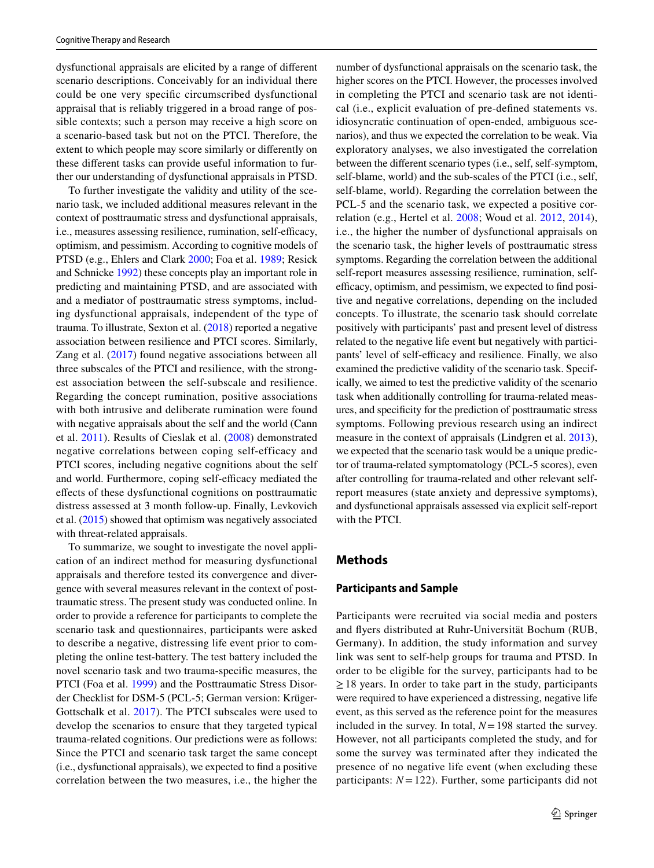dysfunctional appraisals are elicited by a range of different scenario descriptions. Conceivably for an individual there could be one very specific circumscribed dysfunctional appraisal that is reliably triggered in a broad range of possible contexts; such a person may receive a high score on a scenario-based task but not on the PTCI. Therefore, the extent to which people may score similarly or differently on these different tasks can provide useful information to further our understanding of dysfunctional appraisals in PTSD.

To further investigate the validity and utility of the scenario task, we included additional measures relevant in the context of posttraumatic stress and dysfunctional appraisals, i.e., measures assessing resilience, rumination, self-efficacy, optimism, and pessimism. According to cognitive models of PTSD (e.g., Ehlers and Clark [2000;](#page-12-4) Foa et al. [1989;](#page-12-2) Resick and Schnicke [1992\)](#page-12-3) these concepts play an important role in predicting and maintaining PTSD, and are associated with and a mediator of posttraumatic stress symptoms, including dysfunctional appraisals, independent of the type of trauma. To illustrate, Sexton et al. ([2018\)](#page-13-4) reported a negative association between resilience and PTCI scores. Similarly, Zang et al. ([2017](#page-13-5)) found negative associations between all three subscales of the PTCI and resilience, with the strongest association between the self-subscale and resilience. Regarding the concept rumination, positive associations with both intrusive and deliberate rumination were found with negative appraisals about the self and the world (Cann et al. [2011](#page-12-20)). Results of Cieslak et al. ([2008](#page-12-21)) demonstrated negative correlations between coping self-efficacy and PTCI scores, including negative cognitions about the self and world. Furthermore, coping self-efficacy mediated the effects of these dysfunctional cognitions on posttraumatic distress assessed at 3 month follow-up. Finally, Levkovich et al. [\(2015\)](#page-12-22) showed that optimism was negatively associated with threat-related appraisals.

To summarize, we sought to investigate the novel application of an indirect method for measuring dysfunctional appraisals and therefore tested its convergence and divergence with several measures relevant in the context of posttraumatic stress. The present study was conducted online. In order to provide a reference for participants to complete the scenario task and questionnaires, participants were asked to describe a negative, distressing life event prior to completing the online test-battery. The test battery included the novel scenario task and two trauma-specific measures, the PTCI (Foa et al. [1999\)](#page-12-6) and the Posttraumatic Stress Disorder Checklist for DSM-5 (PCL-5; German version: Krüger-Gottschalk et al. [2017](#page-12-23)). The PTCI subscales were used to develop the scenarios to ensure that they targeted typical trauma-related cognitions. Our predictions were as follows: Since the PTCI and scenario task target the same concept (i.e., dysfunctional appraisals), we expected to find a positive correlation between the two measures, i.e., the higher the number of dysfunctional appraisals on the scenario task, the higher scores on the PTCI. However, the processes involved in completing the PTCI and scenario task are not identical (i.e., explicit evaluation of pre-defined statements vs. idiosyncratic continuation of open-ended, ambiguous scenarios), and thus we expected the correlation to be weak. Via exploratory analyses, we also investigated the correlation between the different scenario types (i.e., self, self-symptom, self-blame, world) and the sub-scales of the PTCI (i.e., self, self-blame, world). Regarding the correlation between the PCL-5 and the scenario task, we expected a positive correlation (e.g., Hertel et al. [2008](#page-12-12); Woud et al. [2012](#page-13-1), [2014](#page-13-2)), i.e., the higher the number of dysfunctional appraisals on the scenario task, the higher levels of posttraumatic stress symptoms. Regarding the correlation between the additional self-report measures assessing resilience, rumination, selfefficacy, optimism, and pessimism, we expected to find positive and negative correlations, depending on the included concepts. To illustrate, the scenario task should correlate positively with participants' past and present level of distress related to the negative life event but negatively with participants' level of self-efficacy and resilience. Finally, we also examined the predictive validity of the scenario task. Specifically, we aimed to test the predictive validity of the scenario task when additionally controlling for trauma-related measures, and specificity for the prediction of posttraumatic stress symptoms. Following previous research using an indirect measure in the context of appraisals (Lindgren et al. [2013](#page-12-17)), we expected that the scenario task would be a unique predictor of trauma-related symptomatology (PCL-5 scores), even after controlling for trauma-related and other relevant selfreport measures (state anxiety and depressive symptoms), and dysfunctional appraisals assessed via explicit self-report with the PTCI.

## **Methods**

#### **Participants and Sample**

Participants were recruited via social media and posters and flyers distributed at Ruhr-Universität Bochum (RUB, Germany). In addition, the study information and survey link was sent to self-help groups for trauma and PTSD. In order to be eligible for the survey, participants had to be  $\geq$  18 years. In order to take part in the study, participants were required to have experienced a distressing, negative life event, as this served as the reference point for the measures included in the survey. In total, *N*=198 started the survey. However, not all participants completed the study, and for some the survey was terminated after they indicated the presence of no negative life event (when excluding these participants:  $N = 122$ ). Further, some participants did not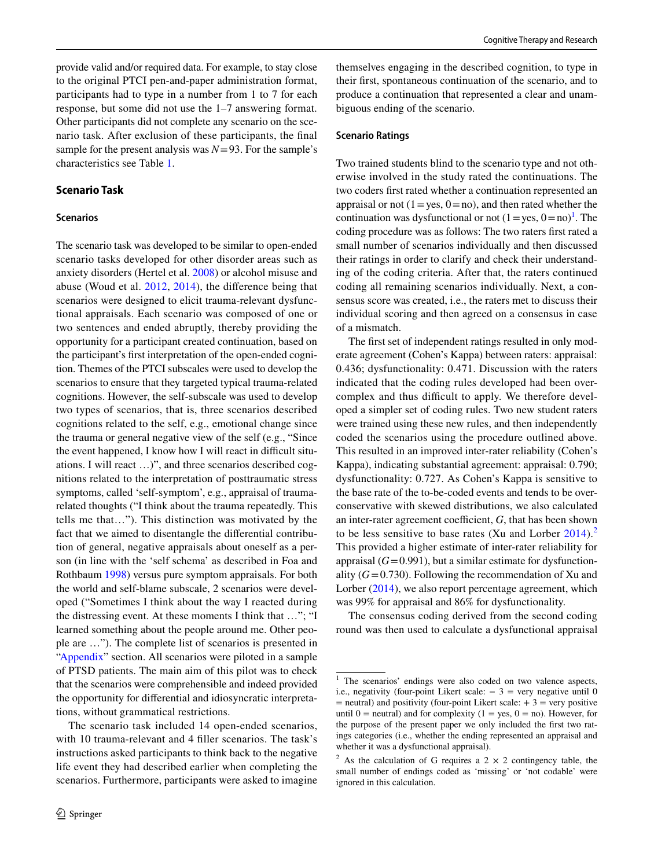provide valid and/or required data. For example, to stay close to the original PTCI pen-and-paper administration format, participants had to type in a number from 1 to 7 for each response, but some did not use the 1–7 answering format. Other participants did not complete any scenario on the scenario task. After exclusion of these participants, the final sample for the present analysis was  $N=93$ . For the sample's characteristics see Table [1.](#page-4-0)

## **Scenario Task**

#### **Scenarios**

The scenario task was developed to be similar to open-ended scenario tasks developed for other disorder areas such as anxiety disorders (Hertel et al. [2008\)](#page-12-12) or alcohol misuse and abuse (Woud et al. [2012](#page-13-1), [2014\)](#page-13-2), the difference being that scenarios were designed to elicit trauma-relevant dysfunctional appraisals. Each scenario was composed of one or two sentences and ended abruptly, thereby providing the opportunity for a participant created continuation, based on the participant's first interpretation of the open-ended cognition. Themes of the PTCI subscales were used to develop the scenarios to ensure that they targeted typical trauma-related cognitions. However, the self-subscale was used to develop two types of scenarios, that is, three scenarios described cognitions related to the self, e.g., emotional change since the trauma or general negative view of the self (e.g., "Since the event happened, I know how I will react in difficult situations. I will react …)", and three scenarios described cognitions related to the interpretation of posttraumatic stress symptoms, called 'self-symptom', e.g., appraisal of traumarelated thoughts ("I think about the trauma repeatedly. This tells me that…"). This distinction was motivated by the fact that we aimed to disentangle the differential contribution of general, negative appraisals about oneself as a person (in line with the 'self schema' as described in Foa and Rothbaum [1998](#page-12-24)) versus pure symptom appraisals. For both the world and self-blame subscale, 2 scenarios were developed ("Sometimes I think about the way I reacted during the distressing event. At these moments I think that …"; "I learned something about the people around me. Other people are …"). The complete list of scenarios is presented in ["Appendix](#page-11-0)" section. All scenarios were piloted in a sample of PTSD patients. The main aim of this pilot was to check that the scenarios were comprehensible and indeed provided the opportunity for differential and idiosyncratic interpretations, without grammatical restrictions.

The scenario task included 14 open-ended scenarios, with 10 trauma-relevant and 4 filler scenarios. The task's instructions asked participants to think back to the negative life event they had described earlier when completing the scenarios. Furthermore, participants were asked to imagine themselves engaging in the described cognition, to type in their first, spontaneous continuation of the scenario, and to produce a continuation that represented a clear and unambiguous ending of the scenario.

#### **Scenario Ratings**

Two trained students blind to the scenario type and not otherwise involved in the study rated the continuations. The two coders first rated whether a continuation represented an appraisal or not  $(1 = yes, 0 = no)$ , and then rated whether the continuation was dysfunctional or not  $(1 = yes, 0 = no)^{1}$  $(1 = yes, 0 = no)^{1}$  $(1 = yes, 0 = no)^{1}$ . The coding procedure was as follows: The two raters first rated a small number of scenarios individually and then discussed their ratings in order to clarify and check their understanding of the coding criteria. After that, the raters continued coding all remaining scenarios individually. Next, a consensus score was created, i.e., the raters met to discuss their individual scoring and then agreed on a consensus in case of a mismatch.

The first set of independent ratings resulted in only moderate agreement (Cohen's Kappa) between raters: appraisal: 0.436; dysfunctionality: 0.471. Discussion with the raters indicated that the coding rules developed had been overcomplex and thus difficult to apply. We therefore developed a simpler set of coding rules. Two new student raters were trained using these new rules, and then independently coded the scenarios using the procedure outlined above. This resulted in an improved inter-rater reliability (Cohen's Kappa), indicating substantial agreement: appraisal: 0.790; dysfunctionality: 0.727. As Cohen's Kappa is sensitive to the base rate of the to-be-coded events and tends to be overconservative with skewed distributions, we also calculated an inter-rater agreement coefficient, *G*, that has been shown to be less sensitive to base rates (Xu and Lorber  $2014$  $2014$ ).<sup>2</sup> This provided a higher estimate of inter-rater reliability for appraisal  $(G=0.991)$ , but a similar estimate for dysfunctionality  $(G=0.730)$ . Following the recommendation of Xu and Lorber [\(2014](#page-13-6)), we also report percentage agreement, which was 99% for appraisal and 86% for dysfunctionality.

The consensus coding derived from the second coding round was then used to calculate a dysfunctional appraisal

<span id="page-3-0"></span><sup>&</sup>lt;sup>1</sup> The scenarios' endings were also coded on two valence aspects, i.e., negativity (four-point Likert scale:  $-3$  = very negative until 0  $=$  neutral) and positivity (four-point Likert scale:  $+ 3 =$  very positive until  $0$  = neutral) and for complexity (1 = yes, 0 = no). However, for the purpose of the present paper we only included the first two ratings categories (i.e., whether the ending represented an appraisal and whether it was a dysfunctional appraisal).

<span id="page-3-1"></span><sup>&</sup>lt;sup>2</sup> As the calculation of G requires a  $2 \times 2$  contingency table, the small number of endings coded as 'missing' or 'not codable' were ignored in this calculation.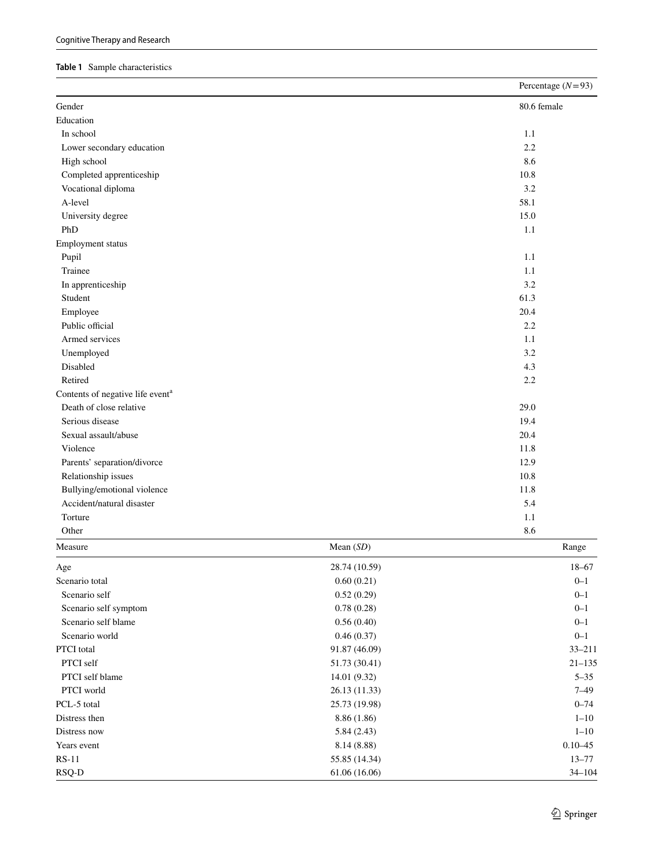#### <span id="page-4-0"></span>**Table 1** Sample characteristics

|                                                          |               | Percentage $(N=93)$ |
|----------------------------------------------------------|---------------|---------------------|
| Gender                                                   |               | 80.6 female         |
| Education                                                |               |                     |
| In school                                                |               | 1.1                 |
| Lower secondary education                                |               | 2.2                 |
| High school                                              |               | 8.6                 |
| Completed apprenticeship                                 |               | 10.8                |
| Vocational diploma                                       |               | 3.2                 |
| A-level                                                  |               | 58.1                |
| University degree                                        |               | 15.0                |
| PhD                                                      |               | 1.1                 |
| Employment status                                        |               |                     |
| Pupil                                                    |               | 1.1                 |
| Trainee                                                  |               | 1.1                 |
| In apprenticeship                                        |               | 3.2                 |
| Student                                                  |               | 61.3                |
| Employee                                                 |               | 20.4                |
| Public official                                          |               | 2.2                 |
| Armed services                                           |               | 1.1                 |
| Unemployed                                               |               | 3.2                 |
| Disabled                                                 |               | 4.3                 |
| Retired                                                  |               | 2.2                 |
| Contents of negative life event <sup>a</sup>             |               |                     |
| Death of close relative                                  |               | 29.0                |
| Serious disease                                          |               | 19.4                |
| Sexual assault/abuse                                     |               | 20.4                |
| Violence                                                 |               | 11.8                |
| Parents' separation/divorce                              |               | 12.9                |
|                                                          |               | 10.8                |
| Relationship issues                                      |               | 11.8                |
| Bullying/emotional violence<br>Accident/natural disaster |               | 5.4                 |
| Torture                                                  |               | 1.1                 |
|                                                          |               |                     |
| Other                                                    |               | 8.6                 |
| Measure                                                  | Mean $(SD)$   | Range               |
| Age                                                      | 28.74 (10.59) | $18 - 67$           |
| Scenario total                                           | 0.60(0.21)    | $0 - 1$             |
| Scenario self                                            | 0.52(0.29)    | $0 - 1$             |
| Scenario self symptom                                    | 0.78(0.28)    | $0 - 1$             |
| Scenario self blame                                      | 0.56(0.40)    | $0 - 1$             |
| Scenario world                                           | 0.46(0.37)    | $0 - 1$             |
| PTCI total                                               | 91.87 (46.09) | $33 - 211$          |
| PTCI self                                                | 51.73(30.41)  | $21 - 135$          |
| PTCI self blame                                          | 14.01 (9.32)  | $5 - 35$            |
| PTCI world                                               | 26.13 (11.33) | $7 - 49$            |
| PCL-5 total                                              | 25.73 (19.98) | $0 - 74$            |
| Distress then                                            | 8.86 (1.86)   | $1 - 10$            |
| Distress now                                             | 5.84(2.43)    | $1 - 10$            |
| Years event                                              | 8.14 (8.88)   | $0.10 - 45$         |
| $RS-11$                                                  | 55.85 (14.34) | $13 - 77$           |
| RSQ-D                                                    | 61.06 (16.06) | $34 - 104$          |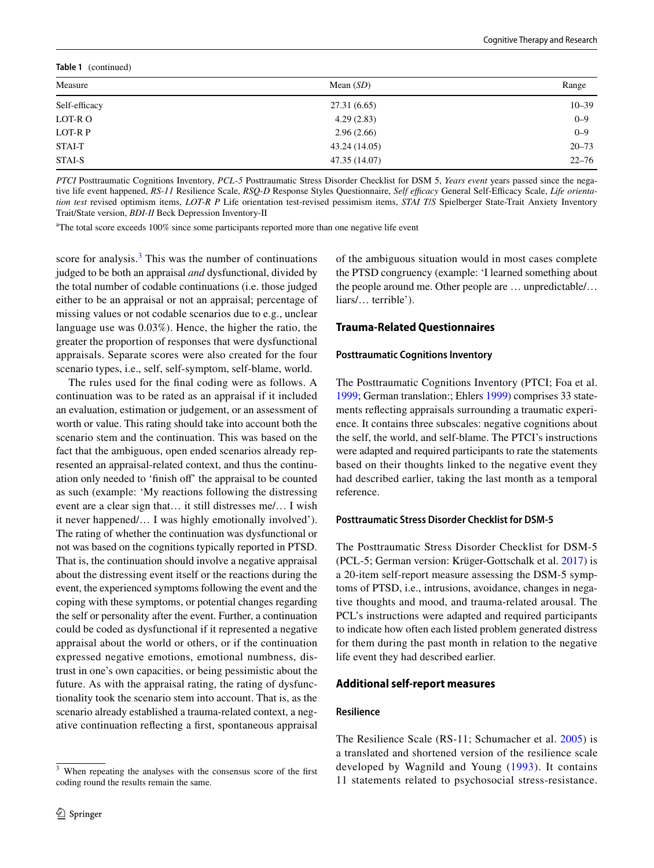| Table 1 (continued) |               |           |  |  |
|---------------------|---------------|-----------|--|--|
| Measure             | Mean $(SD)$   | Range     |  |  |
| Self-efficacy       | 27.31 (6.65)  | $10 - 39$ |  |  |
| LOT-R O             | 4.29(2.83)    | $0 - 9$   |  |  |
| LOT-R P             | 2.96(2.66)    | $0 - 9$   |  |  |
| STAI-T              | 43.24 (14.05) | $20 - 73$ |  |  |
| <b>STAI-S</b>       | 47.35 (14.07) | $22 - 76$ |  |  |

*PTCI* Posttraumatic Cognitions Inventory, *PCL-5* Posttraumatic Stress Disorder Checklist for DSM 5, *Years event* years passed since the negative life event happened, *RS-11* Resilience Scale, *RSQ-D* Response Styles Questionnaire, *Self efficacy* General Self-Efficacy Scale, *Life orientation test* revised optimism items, *LOT-R P* Life orientation test-revised pessimism items, *STAI T*/*S* Spielberger State-Trait Anxiety Inventory Trait/State version, *BDI-II* Beck Depression Inventory-II

<sup>a</sup>The total score exceeds 100% since some participants reported more than one negative life event

score for analysis. $3$  This was the number of continuations judged to be both an appraisal *and* dysfunctional, divided by the total number of codable continuations (i.e. those judged either to be an appraisal or not an appraisal; percentage of missing values or not codable scenarios due to e.g., unclear language use was 0.03%). Hence, the higher the ratio, the greater the proportion of responses that were dysfunctional appraisals. Separate scores were also created for the four scenario types, i.e., self, self-symptom, self-blame, world.

The rules used for the final coding were as follows. A continuation was to be rated as an appraisal if it included an evaluation, estimation or judgement, or an assessment of worth or value. This rating should take into account both the scenario stem and the continuation. This was based on the fact that the ambiguous, open ended scenarios already represented an appraisal-related context, and thus the continuation only needed to 'finish off' the appraisal to be counted as such (example: 'My reactions following the distressing event are a clear sign that… it still distresses me/… I wish it never happened/… I was highly emotionally involved'). The rating of whether the continuation was dysfunctional or not was based on the cognitions typically reported in PTSD. That is, the continuation should involve a negative appraisal about the distressing event itself or the reactions during the event, the experienced symptoms following the event and the coping with these symptoms, or potential changes regarding the self or personality after the event. Further, a continuation could be coded as dysfunctional if it represented a negative appraisal about the world or others, or if the continuation expressed negative emotions, emotional numbness, distrust in one's own capacities, or being pessimistic about the future. As with the appraisal rating, the rating of dysfunctionality took the scenario stem into account. That is, as the scenario already established a trauma-related context, a negative continuation reflecting a first, spontaneous appraisal of the ambiguous situation would in most cases complete the PTSD congruency (example: 'I learned something about the people around me. Other people are … unpredictable/… liars/… terrible').

## **Trauma‑Related Questionnaires**

#### **Posttraumatic Cognitions Inventory**

The Posttraumatic Cognitions Inventory (PTCI; Foa et al. [1999](#page-12-6); German translation:; Ehlers [1999](#page-12-25)) comprises 33 statements reflecting appraisals surrounding a traumatic experience. It contains three subscales: negative cognitions about the self, the world, and self-blame. The PTCI's instructions were adapted and required participants to rate the statements based on their thoughts linked to the negative event they had described earlier, taking the last month as a temporal reference.

## **Posttraumatic Stress Disorder Checklist for DSM-5**

The Posttraumatic Stress Disorder Checklist for DSM-5 (PCL-5; German version: Krüger-Gottschalk et al. [2017\)](#page-12-23) is a 20-item self-report measure assessing the DSM-5 symptoms of PTSD, i.e., intrusions, avoidance, changes in negative thoughts and mood, and trauma-related arousal. The PCL's instructions were adapted and required participants to indicate how often each listed problem generated distress for them during the past month in relation to the negative life event they had described earlier.

## **Additional self‑report measures**

#### **Resilience**

The Resilience Scale (RS-11; Schumacher et al. [2005](#page-13-7)) is a translated and shortened version of the resilience scale developed by Wagnild and Young ([1993\)](#page-13-8). It contains 11 statements related to psychosocial stress-resistance.

<span id="page-5-0"></span><sup>&</sup>lt;sup>3</sup> When repeating the analyses with the consensus score of the first coding round the results remain the same.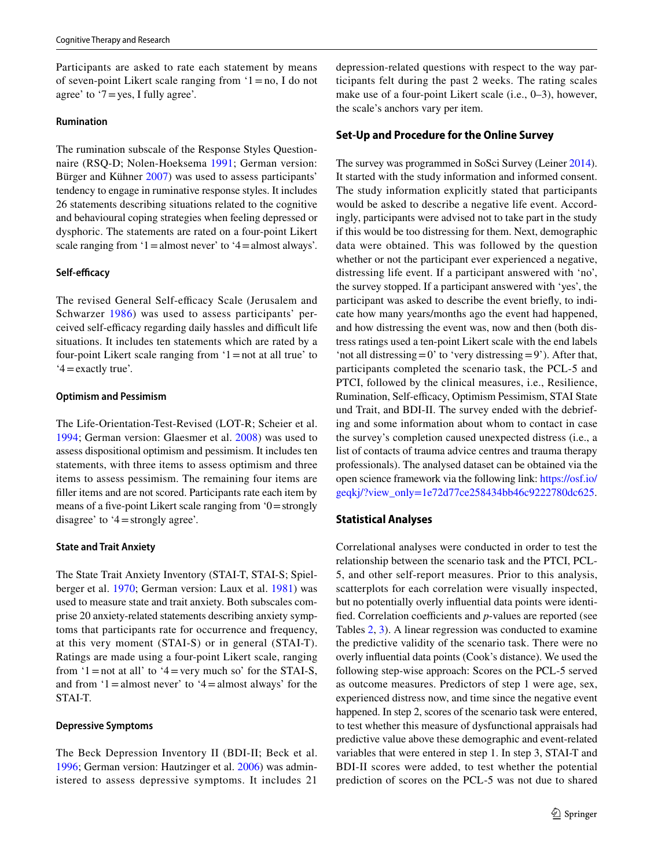Participants are asked to rate each statement by means of seven-point Likert scale ranging from '1=no, I do not agree' to ' $7 = yes$ , I fully agree'.

#### **Rumination**

The rumination subscale of the Response Styles Questionnaire (RSQ-D; Nolen-Hoeksema [1991;](#page-12-26) German version: Bürger and Kühner [2007](#page-12-27)) was used to assess participants' tendency to engage in ruminative response styles. It includes 26 statements describing situations related to the cognitive and behavioural coping strategies when feeling depressed or dysphoric. The statements are rated on a four-point Likert scale ranging from  $1 =$ almost never' to  $4 =$ almost always'.

#### **Self-efficacy**

The revised General Self-efficacy Scale (Jerusalem and Schwarzer [1986\)](#page-12-28) was used to assess participants' perceived self-efficacy regarding daily hassles and difficult life situations. It includes ten statements which are rated by a four-point Likert scale ranging from  $1 =$ not at all true' to '4=exactly true'.

## **Optimism and Pessimism**

The Life-Orientation-Test-Revised (LOT-R; Scheier et al. [1994](#page-13-9); German version: Glaesmer et al. [2008\)](#page-12-29) was used to assess dispositional optimism and pessimism. It includes ten statements, with three items to assess optimism and three items to assess pessimism. The remaining four items are filler items and are not scored. Participants rate each item by means of a five-point Likert scale ranging from '0=strongly disagree' to '4=strongly agree'.

### **State and Trait Anxiety**

The State Trait Anxiety Inventory (STAI-T, STAI-S; Spielberger et al. [1970](#page-13-10); German version: Laux et al. [1981](#page-12-30)) was used to measure state and trait anxiety. Both subscales comprise 20 anxiety-related statements describing anxiety symptoms that participants rate for occurrence and frequency, at this very moment (STAI-S) or in general (STAI-T). Ratings are made using a four-point Likert scale, ranging from  $1 =$ not at all' to  $4 =$ very much so' for the STAI-S, and from  $1 =$ almost never' to  $4 =$ almost always' for the STAI-T.

#### **Depressive Symptoms**

The Beck Depression Inventory II (BDI-II; Beck et al. [1996](#page-12-31); German version: Hautzinger et al. [2006\)](#page-12-32) was administered to assess depressive symptoms. It includes 21

depression-related questions with respect to the way participants felt during the past 2 weeks. The rating scales make use of a four-point Likert scale (i.e., 0–3), however, the scale's anchors vary per item.

#### **Set‑Up and Procedure for the Online Survey**

The survey was programmed in SoSci Survey (Leiner [2014](#page-12-33)). It started with the study information and informed consent. The study information explicitly stated that participants would be asked to describe a negative life event. Accordingly, participants were advised not to take part in the study if this would be too distressing for them. Next, demographic data were obtained. This was followed by the question whether or not the participant ever experienced a negative, distressing life event. If a participant answered with 'no', the survey stopped. If a participant answered with 'yes', the participant was asked to describe the event briefly, to indicate how many years/months ago the event had happened, and how distressing the event was, now and then (both distress ratings used a ten-point Likert scale with the end labels 'not all distressing  $=0$ ' to 'very distressing  $=9$ '). After that, participants completed the scenario task, the PCL-5 and PTCI, followed by the clinical measures, i.e., Resilience, Rumination, Self-efficacy, Optimism Pessimism, STAI State und Trait, and BDI-II. The survey ended with the debriefing and some information about whom to contact in case the survey's completion caused unexpected distress (i.e., a list of contacts of trauma advice centres and trauma therapy professionals). The analysed dataset can be obtained via the open science framework via the following link: [https://osf.io/](https://osf.io/geqkj/?view_only=1e72d77ce258434bb46c9222780dc625) [geqkj/?view\\_only=1e72d77ce258434bb46c9222780dc625.](https://osf.io/geqkj/?view_only=1e72d77ce258434bb46c9222780dc625)

## **Statistical Analyses**

Correlational analyses were conducted in order to test the relationship between the scenario task and the PTCI, PCL-5, and other self-report measures. Prior to this analysis, scatterplots for each correlation were visually inspected, but no potentially overly influential data points were identified. Correlation coefficients and *p*-values are reported (see Tables [2](#page-7-0), [3](#page-8-0)). A linear regression was conducted to examine the predictive validity of the scenario task. There were no overly influential data points (Cook's distance). We used the following step-wise approach: Scores on the PCL-5 served as outcome measures. Predictors of step 1 were age, sex, experienced distress now, and time since the negative event happened. In step 2, scores of the scenario task were entered, to test whether this measure of dysfunctional appraisals had predictive value above these demographic and event-related variables that were entered in step 1. In step 3, STAI-T and BDI-II scores were added, to test whether the potential prediction of scores on the PCL-5 was not due to shared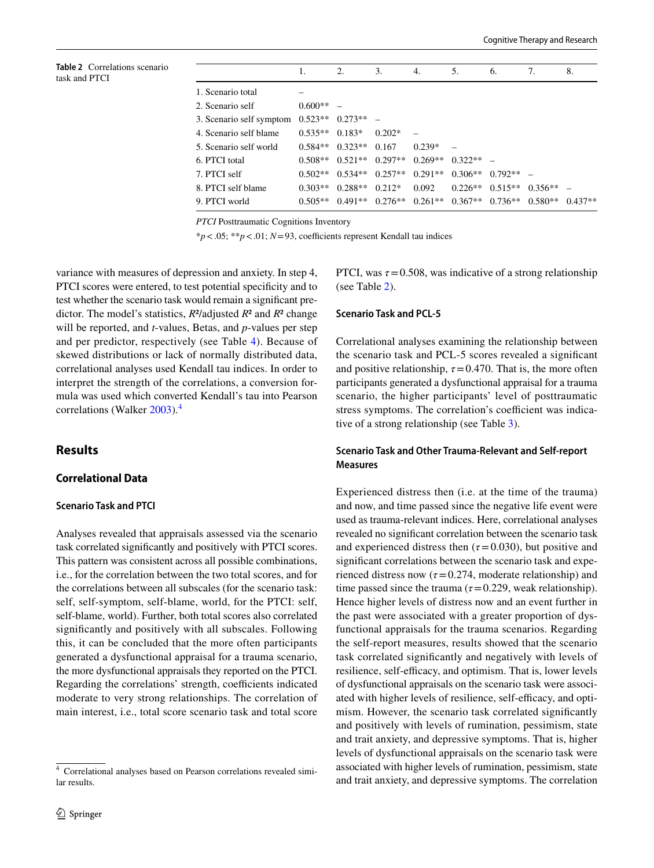<span id="page-7-0"></span>**Table 2** Correlations scenario task and PTCI

|                          |           | 2.                            | 3.       | 4.        | 5.                              | 6.        | 7.                                                          | 8.        |
|--------------------------|-----------|-------------------------------|----------|-----------|---------------------------------|-----------|-------------------------------------------------------------|-----------|
| 1. Scenario total        |           |                               |          |           |                                 |           |                                                             |           |
| 2. Scenario self         | $0.600**$ |                               |          |           |                                 |           |                                                             |           |
| 3. Scenario self symptom | $0.523**$ | $0.273**$                     |          |           |                                 |           |                                                             |           |
| 4. Scenario self blame   | $0.535**$ | $0.183*$                      | $0.202*$ |           |                                 |           |                                                             |           |
| 5. Scenario self world   | $0.584**$ | $0.323**$                     | 0.167    | $0.239*$  |                                 |           |                                                             |           |
| 6. PTCI total            | $0.508**$ | $0.521**$ 0.297**             |          | $0.269**$ | $0.322**$ –                     |           |                                                             |           |
| 7. PTCI self             |           | $0.502**$ $0.534**$ $0.257**$ |          |           | $0.291**$ $0.306**$ $0.792**$ - |           |                                                             |           |
| 8. PTCI self blame       | $0.303**$ | $0.288**$                     | $0.212*$ | 0.092     | $0.226**$                       | $0.515**$ | $0.356**$                                                   |           |
| 9. PTCI world            | $0.505**$ |                               |          |           |                                 |           | $0.491**$ $0.276**$ $0.261**$ $0.367**$ $0.736**$ $0.580**$ | $0.437**$ |

*PTCI* Posttraumatic Cognitions Inventory

\**p*<.05; \*\**p*<.01; *N*=93, coefficients represent Kendall tau indices

variance with measures of depression and anxiety. In step 4, PTCI scores were entered, to test potential specificity and to test whether the scenario task would remain a significant predictor. The model's statistics, *R*²/adjusted *R*² and *R*² change will be reported, and *t*-values, Betas, and *p*-values per step and per predictor, respectively (see Table [4\)](#page-9-0). Because of skewed distributions or lack of normally distributed data, correlational analyses used Kendall tau indices. In order to interpret the strength of the correlations, a conversion formula was used which converted Kendall's tau into Pearson correlations (Walker [2003\)](#page-13-11).<sup>[4](#page-7-1)</sup>

# **Results**

# **Correlational Data**

## **Scenario Task and PTCI**

Analyses revealed that appraisals assessed via the scenario task correlated significantly and positively with PTCI scores. This pattern was consistent across all possible combinations, i.e., for the correlation between the two total scores, and for the correlations between all subscales (for the scenario task: self, self-symptom, self-blame, world, for the PTCI: self, self-blame, world). Further, both total scores also correlated significantly and positively with all subscales. Following this, it can be concluded that the more often participants generated a dysfunctional appraisal for a trauma scenario, the more dysfunctional appraisals they reported on the PTCI. Regarding the correlations' strength, coefficients indicated moderate to very strong relationships. The correlation of main interest, i.e., total score scenario task and total score PTCI, was  $\tau = 0.508$ , was indicative of a strong relationship (see Table [2\)](#page-7-0).

#### **Scenario Task and PCL-5**

Correlational analyses examining the relationship between the scenario task and PCL-5 scores revealed a significant and positive relationship,  $\tau = 0.470$ . That is, the more often participants generated a dysfunctional appraisal for a trauma scenario, the higher participants' level of posttraumatic stress symptoms. The correlation's coefficient was indicative of a strong relationship (see Table [3\)](#page-8-0).

# **Scenario Task and Other Trauma-Relevant and Self-report Measures**

Experienced distress then (i.e. at the time of the trauma) and now, and time passed since the negative life event were used as trauma-relevant indices. Here, correlational analyses revealed no significant correlation between the scenario task and experienced distress then  $(\tau = 0.030)$ , but positive and significant correlations between the scenario task and experienced distress now  $(\tau = 0.274$ , moderate relationship) and time passed since the trauma ( $\tau$ =0.229, weak relationship). Hence higher levels of distress now and an event further in the past were associated with a greater proportion of dysfunctional appraisals for the trauma scenarios. Regarding the self-report measures, results showed that the scenario task correlated significantly and negatively with levels of resilience, self-efficacy, and optimism. That is, lower levels of dysfunctional appraisals on the scenario task were associated with higher levels of resilience, self-efficacy, and optimism. However, the scenario task correlated significantly and positively with levels of rumination, pessimism, state and trait anxiety, and depressive symptoms. That is, higher levels of dysfunctional appraisals on the scenario task were associated with higher levels of rumination, pessimism, state and trait anxiety, and depressive symptoms. The correlation

<span id="page-7-1"></span><sup>4</sup> Correlational analyses based on Pearson correlations revealed similar results.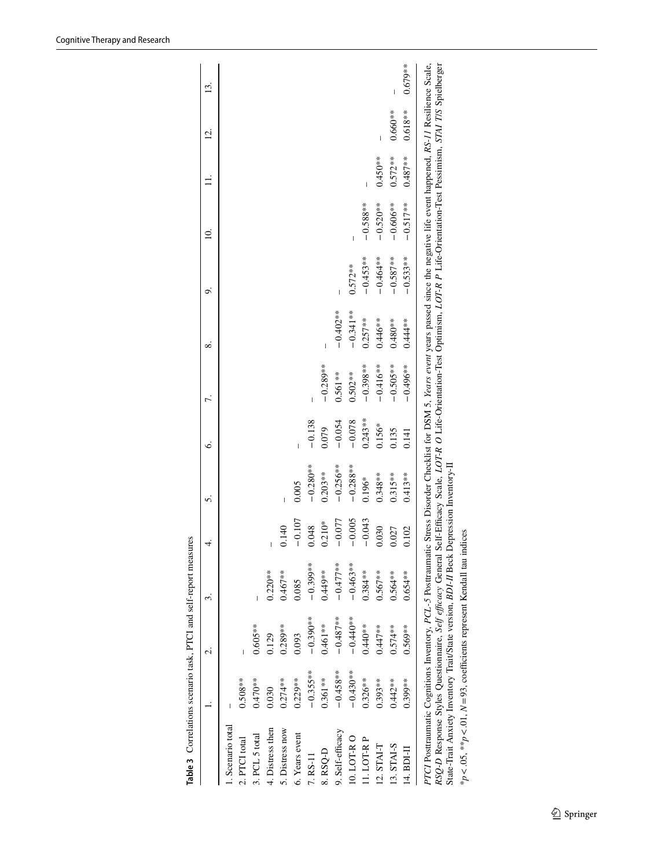|                   |             |             | ω.         | 4.       | ທ່          | Ò.        |             | ∞           | ö          | ≘           |            | <u>ี่ค</u> ่ | ≌         |
|-------------------|-------------|-------------|------------|----------|-------------|-----------|-------------|-------------|------------|-------------|------------|--------------|-----------|
| 1. Scenario total |             |             |            |          |             |           |             |             |            |             |            |              |           |
| 2. PTCI total     | $0.508**$   |             |            |          |             |           |             |             |            |             |            |              |           |
| 3. PCL 5 total    | $0.470**$   | $0.605**$   |            |          |             |           |             |             |            |             |            |              |           |
| 4. Distress then  | 0.030       | 0.129       | $0.220**$  |          |             |           |             |             |            |             |            |              |           |
| 5. Distress now   | $0.274***$  | $0.289**$   | $0.467**$  | 0.140    |             |           |             |             |            |             |            |              |           |
| 6. Years event    | $0.229**$   | 0.093       | 0.085      | $-0.107$ | 0.005       |           |             |             |            |             |            |              |           |
| 7. RS-11          | $-0.355***$ | $-0.390**$  | $-0.399**$ | 0.048    | $-0.280**$  | $-0.138$  |             |             |            |             |            |              |           |
| 8. RSQ-D          | $0.361**$   | $0.461**$   | $0.449**$  | $0.210*$ | $0.203**$   | 0.079     | $-0.289**$  | I           |            |             |            |              |           |
| 9. Self-efficacy  | $-0.458***$ | $-0.487***$ | $-0.477**$ | $-0.077$ | $-0.256***$ | $-0.054$  | $0.561**$   | $-0.402**$  |            |             |            |              |           |
| 10. LOT-RO        | $-0.430***$ | $-0.440**$  | $-0.463**$ | $-0.005$ | $-0.288**$  | $-0.078$  | $0.502**$   | $-0.341***$ | $0.572***$ |             |            |              |           |
| 11. LOT-R P       | $0.326**$   | $0.440**$   | $0.384***$ | $-0.043$ | $0.196*$    | $0.243**$ | $-0.398***$ | $0.257**$   | $-0.453**$ | $-0.588**$  |            |              |           |
| 12. STAI-T        | $0.393**$   | $0.447**$   | $0.567**$  | 0.030    | $0.348***$  | $0.156*$  | $-0.416**$  | $0.446**$   | $-0.464**$ | $-0.520**$  | $0.450**$  |              |           |
| 13. STAI-S        | $0.442**$   | $0.574**$   | $0.564***$ | 0.027    | $0.315***$  | 0.135     | $-0.505***$ | $0.480**$   | $-0.587**$ | $-0.606***$ | $0.572***$ | $0.660**$    |           |
| 14. BDI-II        | $0.399***$  | $0.569**$   | $0.654***$ | 0.102    | $0.413**$   | 0.141     | $-0.496***$ | $0.444**$   | $-0.533**$ | $-0.517**$  | $0.487**$  | $0.618***$   | $0.679**$ |

<span id="page-8-0"></span>

| <b>A sea a a case</b><br>l<br>i |
|---------------------------------|
| :                               |
| こていて しょう                        |
|                                 |
|                                 |
| l                               |
|                                 |

State-Trait Anxiety Inventory Trait/State version, *BDI-II* Beck Depression Inventory-II  $*_{p < .05}$ ,  $*_{n} < .01$ ,  $N = 93$ , coefficients represent Kendall tau indices State-Trait Anxiety Inventory Trait/State version, *BDI-II* Beck Depression Inventory-II \**p*<.05, \*\**p*<.01, *N*=93, coefficients represent Kendall tau indices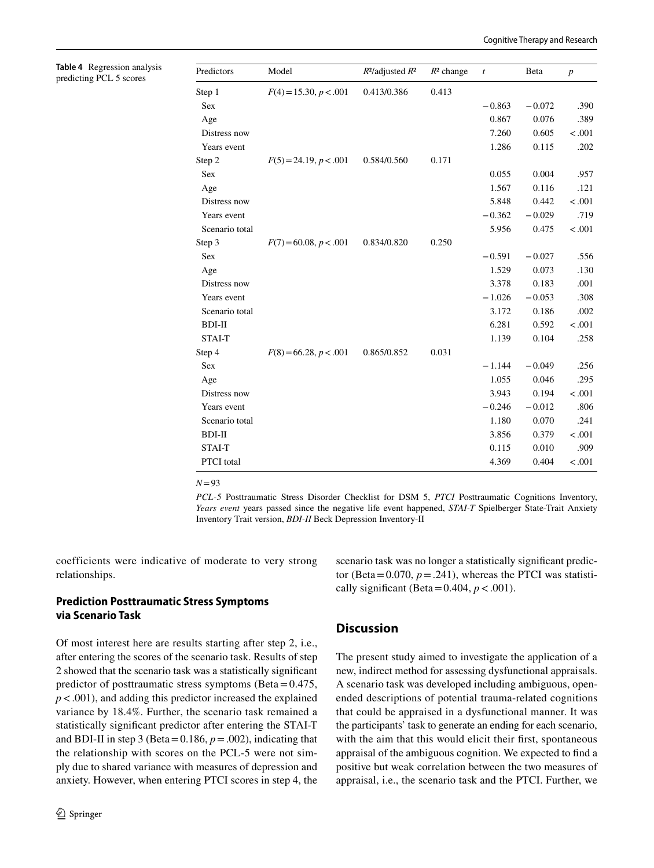<span id="page-9-0"></span>

| <b>Table 4</b> Regression analysis |
|------------------------------------|
| predicting PCL 5 scores            |

| Predictors     | Model                    | $R^2$ /adjusted $R^2$ | $R^2$ change | $\boldsymbol{t}$ | Beta     | $\overline{p}$ |
|----------------|--------------------------|-----------------------|--------------|------------------|----------|----------------|
| Step 1         | $F(4) = 15.30, p < .001$ | 0.413/0.386           | 0.413        |                  |          |                |
| Sex            |                          |                       |              | $-0.863$         | $-0.072$ | .390           |
| Age            |                          |                       |              | 0.867            | 0.076    | .389           |
| Distress now   |                          |                       |              | 7.260            | 0.605    | < .001         |
| Years event    |                          |                       |              | 1.286            | 0.115    | .202           |
| Step 2         | $F(5) = 24.19, p < .001$ | 0.584/0.560           | 0.171        |                  |          |                |
| Sex            |                          |                       |              | 0.055            | 0.004    | .957           |
| Age            |                          |                       |              | 1.567            | 0.116    | .121           |
| Distress now   |                          |                       |              | 5.848            | 0.442    | < .001         |
| Years event    |                          |                       |              | $-0.362$         | $-0.029$ | .719           |
| Scenario total |                          |                       |              | 5.956            | 0.475    | < .001         |
| Step 3         | $F(7) = 60.08, p < .001$ | 0.834/0.820           | 0.250        |                  |          |                |
| Sex            |                          |                       |              | $-0.591$         | $-0.027$ | .556           |
| Age            |                          |                       |              | 1.529            | 0.073    | .130           |
| Distress now   |                          |                       |              | 3.378            | 0.183    | .001           |
| Years event    |                          |                       |              | $-1.026$         | $-0.053$ | .308           |
| Scenario total |                          |                       |              | 3.172            | 0.186    | .002           |
| BDI-II         |                          |                       |              | 6.281            | 0.592    | < .001         |
| STAI-T         |                          |                       |              | 1.139            | 0.104    | .258           |
| Step 4         | $F(8) = 66.28, p < .001$ | 0.865/0.852           | 0.031        |                  |          |                |
| Sex            |                          |                       |              | $-1.144$         | $-0.049$ | .256           |
| Age            |                          |                       |              | 1.055            | 0.046    | .295           |
| Distress now   |                          |                       |              | 3.943            | 0.194    | < .001         |
| Years event    |                          |                       |              | $-0.246$         | $-0.012$ | .806           |
| Scenario total |                          |                       |              | 1.180            | 0.070    | .241           |
| BDI-II         |                          |                       |              | 3.856            | 0.379    | $-.001$        |
| <b>STAI-T</b>  |                          |                       |              | 0.115            | 0.010    | .909           |
| PTCI total     |                          |                       |              | 4.369            | 0.404    | < .001         |

*N*=93

*PCL-5* Posttraumatic Stress Disorder Checklist for DSM 5, *PTCI* Posttraumatic Cognitions Inventory, *Years event* years passed since the negative life event happened, *STAI-T* Spielberger State-Trait Anxiety Inventory Trait version, *BDI-II* Beck Depression Inventory-II

coefficients were indicative of moderate to very strong relationships.

# **Prediction Posttraumatic Stress Symptoms via Scenario Task**

Of most interest here are results starting after step 2, i.e., after entering the scores of the scenario task. Results of step 2 showed that the scenario task was a statistically significant predictor of posttraumatic stress symptoms (Beta $=0.475$ , *p*<.001), and adding this predictor increased the explained variance by 18.4%. Further, the scenario task remained a statistically significant predictor after entering the STAI-T and BDI-II in step 3 (Beta=0.186,  $p = .002$ ), indicating that the relationship with scores on the PCL-5 were not simply due to shared variance with measures of depression and anxiety. However, when entering PTCI scores in step 4, the scenario task was no longer a statistically significant predictor (Beta=0.070,  $p = .241$ ), whereas the PTCI was statistically significant (Beta=0.404,  $p < .001$ ).

# **Discussion**

The present study aimed to investigate the application of a new, indirect method for assessing dysfunctional appraisals. A scenario task was developed including ambiguous, openended descriptions of potential trauma-related cognitions that could be appraised in a dysfunctional manner. It was the participants' task to generate an ending for each scenario, with the aim that this would elicit their first, spontaneous appraisal of the ambiguous cognition. We expected to find a positive but weak correlation between the two measures of appraisal, i.e., the scenario task and the PTCI. Further, we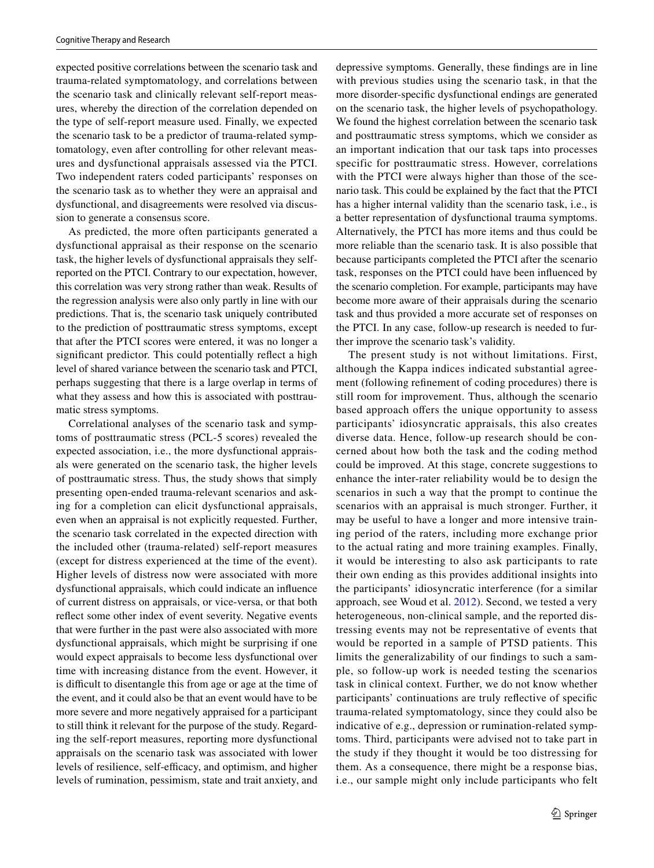expected positive correlations between the scenario task and trauma-related symptomatology, and correlations between the scenario task and clinically relevant self-report measures, whereby the direction of the correlation depended on the type of self-report measure used. Finally, we expected the scenario task to be a predictor of trauma-related symptomatology, even after controlling for other relevant measures and dysfunctional appraisals assessed via the PTCI. Two independent raters coded participants' responses on the scenario task as to whether they were an appraisal and dysfunctional, and disagreements were resolved via discussion to generate a consensus score.

As predicted, the more often participants generated a dysfunctional appraisal as their response on the scenario task, the higher levels of dysfunctional appraisals they selfreported on the PTCI. Contrary to our expectation, however, this correlation was very strong rather than weak. Results of the regression analysis were also only partly in line with our predictions. That is, the scenario task uniquely contributed to the prediction of posttraumatic stress symptoms, except that after the PTCI scores were entered, it was no longer a significant predictor. This could potentially reflect a high level of shared variance between the scenario task and PTCI, perhaps suggesting that there is a large overlap in terms of what they assess and how this is associated with posttraumatic stress symptoms.

Correlational analyses of the scenario task and symptoms of posttraumatic stress (PCL-5 scores) revealed the expected association, i.e., the more dysfunctional appraisals were generated on the scenario task, the higher levels of posttraumatic stress. Thus, the study shows that simply presenting open-ended trauma-relevant scenarios and asking for a completion can elicit dysfunctional appraisals, even when an appraisal is not explicitly requested. Further, the scenario task correlated in the expected direction with the included other (trauma-related) self-report measures (except for distress experienced at the time of the event). Higher levels of distress now were associated with more dysfunctional appraisals, which could indicate an influence of current distress on appraisals, or vice-versa, or that both reflect some other index of event severity. Negative events that were further in the past were also associated with more dysfunctional appraisals, which might be surprising if one would expect appraisals to become less dysfunctional over time with increasing distance from the event. However, it is difficult to disentangle this from age or age at the time of the event, and it could also be that an event would have to be more severe and more negatively appraised for a participant to still think it relevant for the purpose of the study. Regarding the self-report measures, reporting more dysfunctional appraisals on the scenario task was associated with lower levels of resilience, self-efficacy, and optimism, and higher levels of rumination, pessimism, state and trait anxiety, and depressive symptoms. Generally, these findings are in line with previous studies using the scenario task, in that the more disorder-specific dysfunctional endings are generated on the scenario task, the higher levels of psychopathology. We found the highest correlation between the scenario task and posttraumatic stress symptoms, which we consider as an important indication that our task taps into processes specific for posttraumatic stress. However, correlations with the PTCI were always higher than those of the scenario task. This could be explained by the fact that the PTCI has a higher internal validity than the scenario task, i.e., is a better representation of dysfunctional trauma symptoms. Alternatively, the PTCI has more items and thus could be more reliable than the scenario task. It is also possible that because participants completed the PTCI after the scenario task, responses on the PTCI could have been influenced by the scenario completion. For example, participants may have become more aware of their appraisals during the scenario task and thus provided a more accurate set of responses on the PTCI. In any case, follow-up research is needed to further improve the scenario task's validity.

The present study is not without limitations. First, although the Kappa indices indicated substantial agreement (following refinement of coding procedures) there is still room for improvement. Thus, although the scenario based approach offers the unique opportunity to assess participants' idiosyncratic appraisals, this also creates diverse data. Hence, follow-up research should be concerned about how both the task and the coding method could be improved. At this stage, concrete suggestions to enhance the inter-rater reliability would be to design the scenarios in such a way that the prompt to continue the scenarios with an appraisal is much stronger. Further, it may be useful to have a longer and more intensive training period of the raters, including more exchange prior to the actual rating and more training examples. Finally, it would be interesting to also ask participants to rate their own ending as this provides additional insights into the participants' idiosyncratic interference (for a similar approach, see Woud et al. [2012](#page-13-1)). Second, we tested a very heterogeneous, non-clinical sample, and the reported distressing events may not be representative of events that would be reported in a sample of PTSD patients. This limits the generalizability of our findings to such a sample, so follow-up work is needed testing the scenarios task in clinical context. Further, we do not know whether participants' continuations are truly reflective of specific trauma-related symptomatology, since they could also be indicative of e.g., depression or rumination-related symptoms. Third, participants were advised not to take part in the study if they thought it would be too distressing for them. As a consequence, there might be a response bias, i.e., our sample might only include participants who felt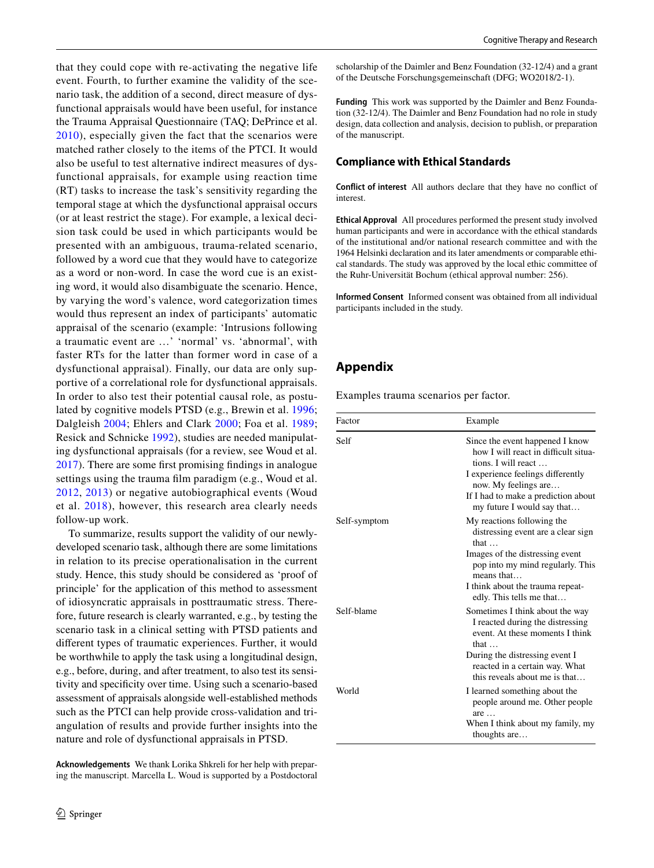that they could cope with re-activating the negative life event. Fourth, to further examine the validity of the scenario task, the addition of a second, direct measure of dysfunctional appraisals would have been useful, for instance the Trauma Appraisal Questionnaire (TAQ; DePrince et al. [2010](#page-12-5)), especially given the fact that the scenarios were matched rather closely to the items of the PTCI. It would also be useful to test alternative indirect measures of dysfunctional appraisals, for example using reaction time (RT) tasks to increase the task's sensitivity regarding the temporal stage at which the dysfunctional appraisal occurs (or at least restrict the stage). For example, a lexical decision task could be used in which participants would be presented with an ambiguous, trauma-related scenario, followed by a word cue that they would have to categorize as a word or non-word. In case the word cue is an existing word, it would also disambiguate the scenario. Hence, by varying the word's valence, word categorization times would thus represent an index of participants' automatic appraisal of the scenario (example: 'Intrusions following a traumatic event are …' 'normal' vs. 'abnormal', with faster RTs for the latter than former word in case of a dysfunctional appraisal). Finally, our data are only supportive of a correlational role for dysfunctional appraisals. In order to also test their potential causal role, as postulated by cognitive models PTSD (e.g., Brewin et al. [1996](#page-12-0); Dalgleish [2004](#page-12-1); Ehlers and Clark [2000;](#page-12-4) Foa et al. [1989](#page-12-2); Resick and Schnicke [1992\)](#page-12-3), studies are needed manipulating dysfunctional appraisals (for a review, see Woud et al. [2017](#page-13-12)). There are some first promising findings in analogue settings using the trauma film paradigm (e.g., Woud et al. [2012](#page-13-13), [2013](#page-13-14)) or negative autobiographical events (Woud et al. [2018](#page-13-15)), however, this research area clearly needs follow-up work.

To summarize, results support the validity of our newlydeveloped scenario task, although there are some limitations in relation to its precise operationalisation in the current study. Hence, this study should be considered as 'proof of principle' for the application of this method to assessment of idiosyncratic appraisals in posttraumatic stress. Therefore, future research is clearly warranted, e.g., by testing the scenario task in a clinical setting with PTSD patients and different types of traumatic experiences. Further, it would be worthwhile to apply the task using a longitudinal design, e.g., before, during, and after treatment, to also test its sensitivity and specificity over time. Using such a scenario-based assessment of appraisals alongside well-established methods such as the PTCI can help provide cross-validation and triangulation of results and provide further insights into the nature and role of dysfunctional appraisals in PTSD.

**Acknowledgements** We thank Lorika Shkreli for her help with preparing the manuscript. Marcella L. Woud is supported by a Postdoctoral scholarship of the Daimler and Benz Foundation (32-12/4) and a grant of the Deutsche Forschungsgemeinschaft (DFG; WO2018/2-1).

**Funding** This work was supported by the Daimler and Benz Foundation (32-12/4). The Daimler and Benz Foundation had no role in study design, data collection and analysis, decision to publish, or preparation of the manuscript.

#### **Compliance with Ethical Standards**

**Conflict of interest** All authors declare that they have no conflict of interest.

**Ethical Approval** All procedures performed the present study involved human participants and were in accordance with the ethical standards of the institutional and/or national research committee and with the 1964 Helsinki declaration and its later amendments or comparable ethical standards. The study was approved by the local ethic committee of the Ruhr-Universität Bochum (ethical approval number: 256).

**Informed Consent** Informed consent was obtained from all individual participants included in the study.

# <span id="page-11-0"></span>**Appendix**

Examples trauma scenarios per factor.

| Factor       | Example                                                                                                                                                                                                    |
|--------------|------------------------------------------------------------------------------------------------------------------------------------------------------------------------------------------------------------|
| Self         | Since the event happened I know<br>how I will react in difficult situa-<br>tions. I will react $\dots$<br>I experience feelings differently<br>now. My feelings are<br>If I had to make a prediction about |
| Self-symptom | my future I would say that<br>My reactions following the<br>distressing event are a clear sign<br>that $\dots$<br>Images of the distressing event<br>pop into my mind regularly. This<br>means that        |
|              | I think about the trauma repeat-<br>edly. This tells me that                                                                                                                                               |
| Self-blame   | Sometimes I think about the way<br>I reacted during the distressing<br>event. At these moments I think<br>that $\dots$                                                                                     |
|              | During the distressing event I<br>reacted in a certain way. What<br>this reveals about me is that                                                                                                          |
| World        | I learned something about the<br>people around me. Other people<br>are                                                                                                                                     |
|              | When I think about my family, my<br>thoughts are                                                                                                                                                           |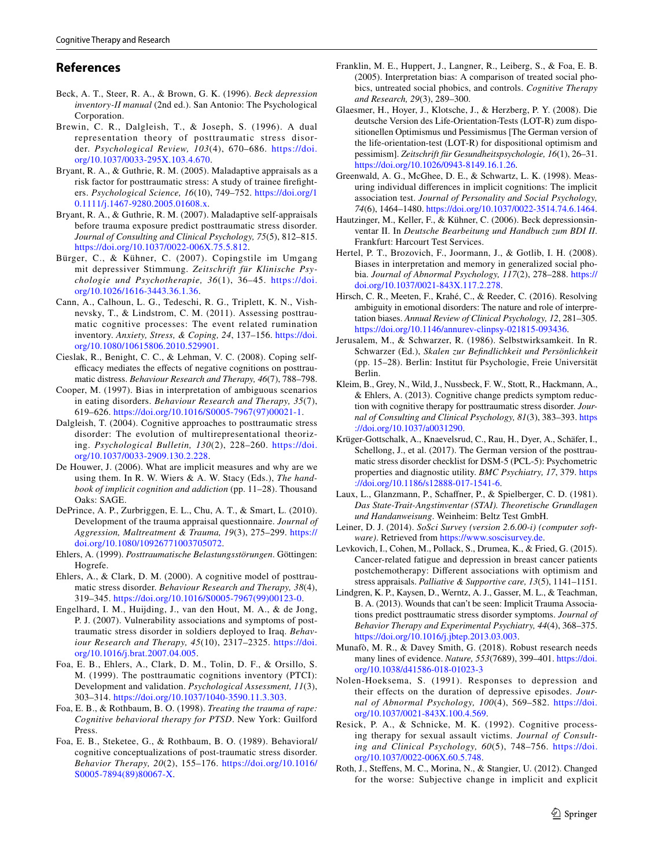# **References**

- <span id="page-12-31"></span>Beck, A. T., Steer, R. A., & Brown, G. K. (1996). *Beck depression inventory-II manual* (2nd ed.). San Antonio: The Psychological Corporation.
- <span id="page-12-0"></span>Brewin, C. R., Dalgleish, T., & Joseph, S. (1996). A dual representation theory of posttraumatic stress disorder. *Psychological Review, 103*(4), 670–686. [https://doi.](https://doi.org/10.1037/0033-295X.103.4.670) [org/10.1037/0033-295X.103.4.670](https://doi.org/10.1037/0033-295X.103.4.670).
- <span id="page-12-7"></span>Bryant, R. A., & Guthrie, R. M. (2005). Maladaptive appraisals as a risk factor for posttraumatic stress: A study of trainee firefighters. *Psychological Science, 16*(10), 749–752. [https://doi.org/1](https://doi.org/10.1111/j.1467-9280.2005.01608.x) [0.1111/j.1467-9280.2005.01608.x.](https://doi.org/10.1111/j.1467-9280.2005.01608.x)
- <span id="page-12-8"></span>Bryant, R. A., & Guthrie, R. M. (2007). Maladaptive self-appraisals before trauma exposure predict posttraumatic stress disorder. *Journal of Consulting and Clinical Psychology, 75*(5), 812–815. [https://doi.org/10.1037/0022-006X.75.5.812.](https://doi.org/10.1037/0022-006X.75.5.812)
- <span id="page-12-27"></span>Bürger, C., & Kühner, C. (2007). Copingstile im Umgang mit depressiver Stimmung. *Zeitschrift für Klinische Psychologie und Psychotherapie, 36*(1), 36–45. [https://doi.](https://doi.org/10.1026/1616-3443.36.1.36) [org/10.1026/1616-3443.36.1.36.](https://doi.org/10.1026/1616-3443.36.1.36)
- <span id="page-12-20"></span>Cann, A., Calhoun, L. G., Tedeschi, R. G., Triplett, K. N., Vishnevsky, T., & Lindstrom, C. M. (2011). Assessing posttraumatic cognitive processes: The event related rumination inventory. *Anxiety, Stress, & Coping, 24*, 137–156. [https://doi.](https://doi.org/10.1080/10615806.2010.529901) [org/10.1080/10615806.2010.529901](https://doi.org/10.1080/10615806.2010.529901).
- <span id="page-12-21"></span>Cieslak, R., Benight, C. C., & Lehman, V. C. (2008). Coping selfefficacy mediates the effects of negative cognitions on posttraumatic distress. *Behaviour Research and Therapy, 46*(7), 788–798.
- <span id="page-12-13"></span>Cooper, M. (1997). Bias in interpretation of ambiguous scenarios in eating disorders. *Behaviour Research and Therapy, 35*(7), 619–626. [https://doi.org/10.1016/S0005-7967\(97\)00021-1.](https://doi.org/10.1016/S0005-7967(97)00021-1)
- <span id="page-12-1"></span>Dalgleish, T. (2004). Cognitive approaches to posttraumatic stress disorder: The evolution of multirepresentational theorizing. *Psychological Bulletin, 130*(2), 228–260. [https://doi.](https://doi.org/10.1037/0033-2909.130.2.228) [org/10.1037/0033-2909.130.2.228.](https://doi.org/10.1037/0033-2909.130.2.228)
- <span id="page-12-11"></span>De Houwer, J. (2006). What are implicit measures and why are we using them. In R. W. Wiers & A. W. Stacy (Eds.), *The handbook of implicit cognition and addiction* (pp. 11–28). Thousand Oaks: SAGE.
- <span id="page-12-5"></span>DePrince, A. P., Zurbriggen, E. L., Chu, A. T., & Smart, L. (2010). Development of the trauma appraisal questionnaire. *Journal of Aggression, Maltreatment & Trauma, 19*(3), 275–299. [https://](https://doi.org/10.1080/10926771003705072) [doi.org/10.1080/10926771003705072](https://doi.org/10.1080/10926771003705072).
- <span id="page-12-25"></span>Ehlers, A. (1999). *Posttraumatische Belastungsstörungen*. Göttingen: Hogrefe.
- <span id="page-12-4"></span>Ehlers, A., & Clark, D. M. (2000). A cognitive model of posttraumatic stress disorder. *Behaviour Research and Therapy, 38*(4), 319–345. [https://doi.org/10.1016/S0005-7967\(99\)00123-0.](https://doi.org/10.1016/S0005-7967(99)00123-0)
- <span id="page-12-18"></span>Engelhard, I. M., Huijding, J., van den Hout, M. A., & de Jong, P. J. (2007). Vulnerability associations and symptoms of posttraumatic stress disorder in soldiers deployed to Iraq. *Behaviour Research and Therapy, 45*(10), 2317–2325. [https://doi.](https://doi.org/10.1016/j.brat.2007.04.005) [org/10.1016/j.brat.2007.04.005.](https://doi.org/10.1016/j.brat.2007.04.005)
- <span id="page-12-6"></span>Foa, E. B., Ehlers, A., Clark, D. M., Tolin, D. F., & Orsillo, S. M. (1999). The posttraumatic cognitions inventory (PTCI): Development and validation. *Psychological Assessment, 11*(3), 303–314.<https://doi.org/10.1037/1040-3590.11.3.303>.
- <span id="page-12-24"></span>Foa, E. B., & Rothbaum, B. O. (1998). *Treating the trauma of rape: Cognitive behavioral therapy for PTSD*. New York: Guilford Press.
- <span id="page-12-2"></span>Foa, E. B., Steketee, G., & Rothbaum, B. O. (1989). Behavioral/ cognitive conceptualizations of post-traumatic stress disorder. *Behavior Therapy, 20*(2), 155–176. [https://doi.org/10.1016/](https://doi.org/10.1016/S0005-7894(89)80067-X) [S0005-7894\(89\)80067-X](https://doi.org/10.1016/S0005-7894(89)80067-X).
- <span id="page-12-14"></span>Franklin, M. E., Huppert, J., Langner, R., Leiberg, S., & Foa, E. B. (2005). Interpretation bias: A comparison of treated social phobics, untreated social phobics, and controls. *Cognitive Therapy and Research, 29*(3), 289–300.
- <span id="page-12-29"></span>Glaesmer, H., Hoyer, J., Klotsche, J., & Herzberg, P. Y. (2008). Die deutsche Version des Life-Orientation-Tests (LOT-R) zum dispositionellen Optimismus und Pessimismus [The German version of the life-orientation-test (LOT-R) for dispositional optimism and pessimism]. *Zeitschrift für Gesundheitspsychologie, 16*(1), 26–31. [https://doi.org/10.1026/0943-8149.16.1.26.](https://doi.org/10.1026/0943-8149.16.1.26)
- <span id="page-12-16"></span>Greenwald, A. G., McGhee, D. E., & Schwartz, L. K. (1998). Measuring individual differences in implicit cognitions: The implicit association test. *Journal of Personality and Social Psychology, 74*(6), 1464–1480.<https://doi.org/10.1037/0022-3514.74.6.1464>.
- <span id="page-12-32"></span>Hautzinger, M., Keller, F., & Kühner, C. (2006). Beck depressionsinventar II. In *Deutsche Bearbeitung und Handbuch zum BDI II*. Frankfurt: Harcourt Test Services.
- <span id="page-12-12"></span>Hertel, P. T., Brozovich, F., Joormann, J., & Gotlib, I. H. (2008). Biases in interpretation and memory in generalized social phobia. *Journal of Abnormal Psychology, 117*(2), 278–288. [https://](https://doi.org/10.1037/0021-843X.117.2.278) [doi.org/10.1037/0021-843X.117.2.278](https://doi.org/10.1037/0021-843X.117.2.278).
- <span id="page-12-15"></span>Hirsch, C. R., Meeten, F., Krahé, C., & Reeder, C. (2016). Resolving ambiguity in emotional disorders: The nature and role of interpretation biases. *Annual Review of Clinical Psychology, 12*, 281–305. <https://doi.org/10.1146/annurev-clinpsy-021815-093436>.
- <span id="page-12-28"></span>Jerusalem, M., & Schwarzer, R. (1986). Selbstwirksamkeit. In R. Schwarzer (Ed.), *Skalen zur Befindlichkeit und Persönlichkeit* (pp. 15–28). Berlin: Institut für Psychologie, Freie Universität Berlin.
- <span id="page-12-9"></span>Kleim, B., Grey, N., Wild, J., Nussbeck, F. W., Stott, R., Hackmann, A., & Ehlers, A. (2013). Cognitive change predicts symptom reduction with cognitive therapy for posttraumatic stress disorder. *Journal of Consulting and Clinical Psychology, 81*(3), 383–393. [https](https://doi.org/10.1037/a0031290) [://doi.org/10.1037/a0031290](https://doi.org/10.1037/a0031290).
- <span id="page-12-23"></span>Krüger-Gottschalk, A., Knaevelsrud, C., Rau, H., Dyer, A., Schäfer, I., Schellong, J., et al. (2017). The German version of the posttraumatic stress disorder checklist for DSM-5 (PCL-5): Psychometric properties and diagnostic utility. *BMC Psychiatry, 17*, 379. [https](https://doi.org/10.1186/s12888-017-1541-6) [://doi.org/10.1186/s12888-017-1541-6](https://doi.org/10.1186/s12888-017-1541-6).
- <span id="page-12-30"></span>Laux, L., Glanzmann, P., Schaffner, P., & Spielberger, C. D. (1981). *Das State-Trait-Angstinventar (STAI). Theoretische Grundlagen und Handanweisung*. Weinheim: Beltz Test GmbH.
- <span id="page-12-33"></span>Leiner, D. J. (2014). *SoSci Survey (version 2.6.00-i) (computer software)*. Retrieved from <https://www.soscisurvey.de>.
- <span id="page-12-22"></span>Levkovich, I., Cohen, M., Pollack, S., Drumea, K., & Fried, G. (2015). Cancer-related fatigue and depression in breast cancer patients postchemotherapy: Different associations with optimism and stress appraisals. *Palliative & Supportive care, 13*(5), 1141–1151.
- <span id="page-12-17"></span>Lindgren, K. P., Kaysen, D., Werntz, A. J., Gasser, M. L., & Teachman, B. A. (2013). Wounds that can't be seen: Implicit Trauma Associations predict posttraumatic stress disorder symptoms. *Journal of Behavior Therapy and Experimental Psychiatry, 44*(4), 368–375. <https://doi.org/10.1016/j.jbtep.2013.03.003>.
- <span id="page-12-10"></span>Munafò, M. R., & Davey Smith, G. (2018). Robust research needs many lines of evidence. *Nature, 553*(7689), 399–401. [https://doi.](https://doi.org/10.1038/d41586-018-01023-3) [org/10.1038/d41586-018-01023-3](https://doi.org/10.1038/d41586-018-01023-3)
- <span id="page-12-26"></span>Nolen-Hoeksema, S. (1991). Responses to depression and their effects on the duration of depressive episodes. *Journal of Abnormal Psychology, 100*(4), 569–582. [https://doi.](https://doi.org/10.1037/0021-843X.100.4.569) [org/10.1037/0021-843X.100.4.569.](https://doi.org/10.1037/0021-843X.100.4.569)
- <span id="page-12-3"></span>Resick, P. A., & Schnicke, M. K. (1992). Cognitive processing therapy for sexual assault victims. *Journal of Consulting and Clinical Psychology, 60*(5), 748–756. [https://doi.](https://doi.org/10.1037/0022-006X.60.5.748) [org/10.1037/0022-006X.60.5.748.](https://doi.org/10.1037/0022-006X.60.5.748)
- <span id="page-12-19"></span>Roth, J., Steffens, M. C., Morina, N., & Stangier, U. (2012). Changed for the worse: Subjective change in implicit and explicit